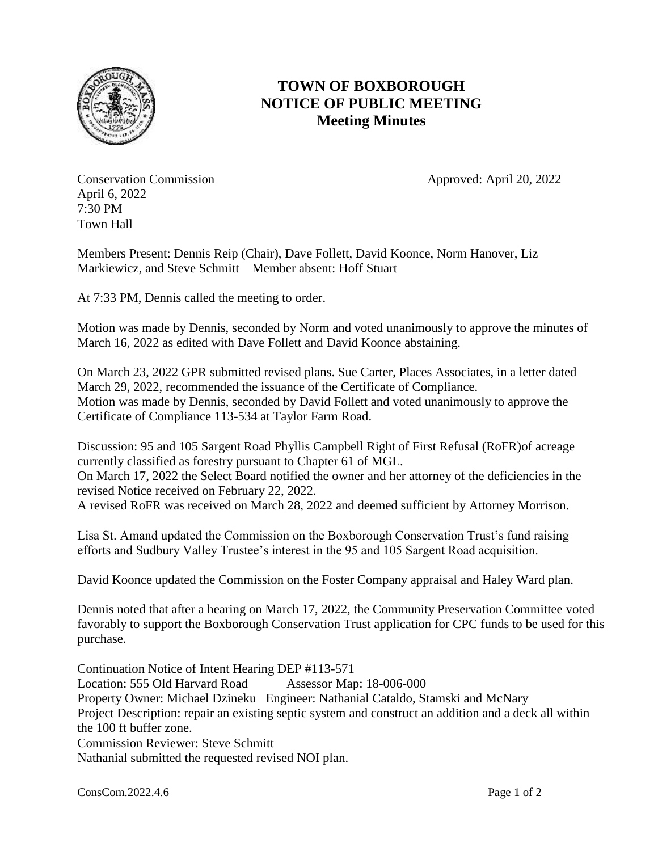

## **TOWN OF BOXBOROUGH NOTICE OF PUBLIC MEETING Meeting Minutes**

Conservation Commission **Approved:** April 20, 2022 April 6, 2022 7:30 PM Town Hall

Members Present: Dennis Reip (Chair), Dave Follett, David Koonce, Norm Hanover, Liz Markiewicz, and Steve Schmitt Member absent: Hoff Stuart

At 7:33 PM, Dennis called the meeting to order.

Motion was made by Dennis, seconded by Norm and voted unanimously to approve the minutes of March 16, 2022 as edited with Dave Follett and David Koonce abstaining.

On March 23, 2022 GPR submitted revised plans. Sue Carter, Places Associates, in a letter dated March 29, 2022, recommended the issuance of the Certificate of Compliance. Motion was made by Dennis, seconded by David Follett and voted unanimously to approve the Certificate of Compliance 113-534 at Taylor Farm Road.

Discussion: 95 and 105 Sargent Road Phyllis Campbell Right of First Refusal (RoFR)of acreage currently classified as forestry pursuant to Chapter 61 of MGL. On March 17, 2022 the Select Board notified the owner and her attorney of the deficiencies in the revised Notice received on February 22, 2022. A revised RoFR was received on March 28, 2022 and deemed sufficient by Attorney Morrison.

Lisa St. Amand updated the Commission on the Boxborough Conservation Trust's fund raising efforts and Sudbury Valley Trustee's interest in the 95 and 105 Sargent Road acquisition.

David Koonce updated the Commission on the Foster Company appraisal and Haley Ward plan.

Dennis noted that after a hearing on March 17, 2022, the Community Preservation Committee voted favorably to support the Boxborough Conservation Trust application for CPC funds to be used for this purchase.

Continuation Notice of Intent Hearing DEP #113-571 Location: 555 Old Harvard Road Assessor Map: 18-006-000 Property Owner: Michael Dzineku Engineer: Nathanial Cataldo, Stamski and McNary Project Description: repair an existing septic system and construct an addition and a deck all within the 100 ft buffer zone. Commission Reviewer: Steve Schmitt Nathanial submitted the requested revised NOI plan.

ConsCom.2022.4.6 Page 1 of 2